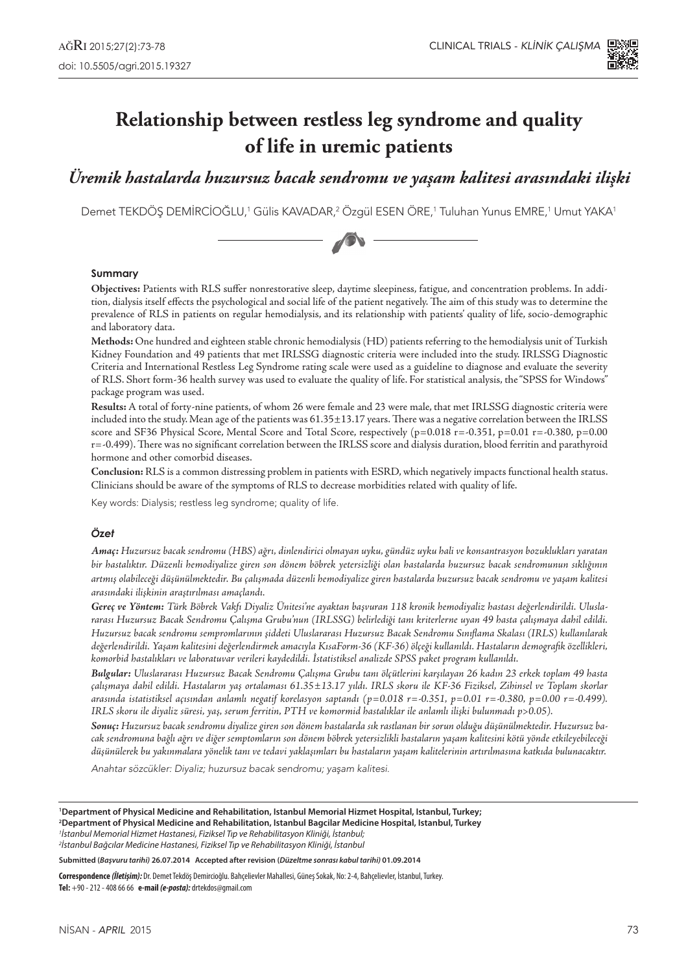

# **Relationship between restless leg syndrome and quality of life in uremic patients**

# *Üremik hastalarda huzursuz bacak sendromu ve yaşam kalitesi arasındaki ilişki*

Demet TEKDÖŞ DEMİRCİOĞLU,<sup>1</sup> Gülis KAVADAR,<sup>2</sup> Özgül ESEN ÖRE,<sup>1</sup> Tuluhan Yunus EMRE,<sup>1</sup> Umut YAKA<sup>1</sup>



#### **Summary**

**Objectives:** Patients with RLS suffer nonrestorative sleep, daytime sleepiness, fatigue, and concentration problems. In addition, dialysis itself effects the psychological and social life of the patient negatively. The aim of this study was to determine the prevalence of RLS in patients on regular hemodialysis, and its relationship with patients' quality of life, socio-demographic and laboratory data.

**Methods:** One hundred and eighteen stable chronic hemodialysis (HD) patients referring to the hemodialysis unit of Turkish Kidney Foundation and 49 patients that met IRLSSG diagnostic criteria were included into the study. IRLSSG Diagnostic Criteria and International Restless Leg Syndrome rating scale were used as a guideline to diagnose and evaluate the severity of RLS. Short form-36 health survey was used to evaluate the quality of life. For statistical analysis, the "SPSS for Windows" package program was used.

**Results:** A total of forty-nine patients, of whom 26 were female and 23 were male, that met IRLSSG diagnostic criteria were included into the study. Mean age of the patients was 61.35±13.17 years. There was a negative correlation between the IRLSS score and SF36 Physical Score, Mental Score and Total Score, respectively (p=0.018 r=-0.351, p=0.01 r=-0.380, p=0.00 r=-0.499). There was no significant correlation between the IRLSS score and dialysis duration, blood ferritin and parathyroid hormone and other comorbid diseases.

**Conclusion:** RLS is a common distressing problem in patients with ESRD, which negatively impacts functional health status. Clinicians should be aware of the symptoms of RLS to decrease morbidities related with quality of life.

Key words: Dialysis; restless leg syndrome; quality of life.

#### *Özet*

*Amaç: Huzursuz bacak sendromu (HBS) ağrı, dinlendirici olmayan uyku, gündüz uyku hali ve konsantrasyon bozuklukları yaratan bir hastalıktır. Düzenli hemodiyalize giren son dönem böbrek yetersizliği olan hastalarda huzursuz bacak sendromunun sıklığının artmış olabileceği düşünülmektedir. Bu çalışmada düzenli hemodiyalize giren hastalarda huzursuz bacak sendromu ve yaşam kalitesi arasındaki ilişkinin araştırılması amaçlandı.*

*Gereç ve Yöntem: Türk Böbrek Vakfı Diyaliz Ünitesi'ne ayaktan başvuran 118 kronik hemodiyaliz hastası değerlendirildi. Uluslararası Huzursuz Bacak Sendromu Çalışma Grubu'nun (IRLSSG) belirlediği tanı kriterlerne uyan 49 hasta çalışmaya dahil edildi. Huzursuz bacak sendromu sempromlarının şiddeti Uluslararası Huzursuz Bacak Sendromu Sınıflama Skalası (IRLS) kullanılarak değerlendirildi. Yaşam kalitesini değerlendirmek amacıyla KısaForm-36 (KF-36) ölçeği kullanıldı. Hastaların demografik özellikleri, komorbid hastalıkları ve laboratuvar verileri kaydedildi. İstatistiksel analizde SPSS paket program kullanıldı.*

*Bulgular: Uluslararası Huzursuz Bacak Sendromu Çalışma Grubu tanı ölçütlerini karşılayan 26 kadın 23 erkek toplam 49 hasta çalışmaya dahil edildi. Hastaların yaş ortalaması 61.35±13.17 yıldı. IRLS skoru ile KF-36 Fiziksel, Zihinsel ve Toplam skorlar arasında istatistiksel açısından anlamlı negatif korelasyon saptandı (p=0.018 r=-0.351, p=0.01 r=-0.380, p=0.00 r=-0.499). IRLS skoru ile diyaliz süresi, yaş, serum ferritin, PTH ve komormid hastalıklar ile anlamlı ilişki bulunmadı p>0.05).*

*Sonuç: Huzursuz bacak sendromu diyalize giren son dönem hastalarda sık rastlanan bir sorun olduğu düşünülmektedir. Huzursuz bacak sendromuna bağlı ağrı ve diğer semptomların son dönem böbrek yetersizlikli hastaların yaşam kalitesini kötü yönde etkileyebileceği düşünülerek bu yakınmalara yönelik tanı ve tedavi yaklaşımları bu hastaların yaşam kalitelerinin artırılmasına katkıda bulunacaktır.*

Anahtar sözcükler: Diyaliz; huzursuz bacak sendromu; yaşam kalitesi.

**1 Department of Physical Medicine and Rehabilitation, Istanbul Memorial Hizmet Hospital, Istanbul, Turkey;**

**2 Department of Physical Medicine and Rehabilitation, Istanbul Bagcilar Medicine Hospital, Istanbul, Turkey** *1 İstanbul Memorial Hizmet Hastanesi, Fiziksel Tıp ve Rehabilitasyon Kliniği, İstanbul;*

*2 İstanbul Bağcılar Medicine Hastanesi, Fiziksel Tıp ve Rehabilitasyon Kliniği, İstanbul*

**Submitted (***Başvuru tarihi)* **26.07.2014 Accepted after revision (***Düzeltme sonrası kabul tarihi)* **01.09.2014** 

**Correspondence** *(İletişim):* Dr. Demet Tekdöş Demircioğlu. Bahçelievler Mahallesi, Güneş Sokak, No: 2-4, Bahçelievler, İstanbul, Turkey. **Tel:** +90 - 212 - 408 66 66 **e-mail** *(e-posta):* drtekdos@gmail.com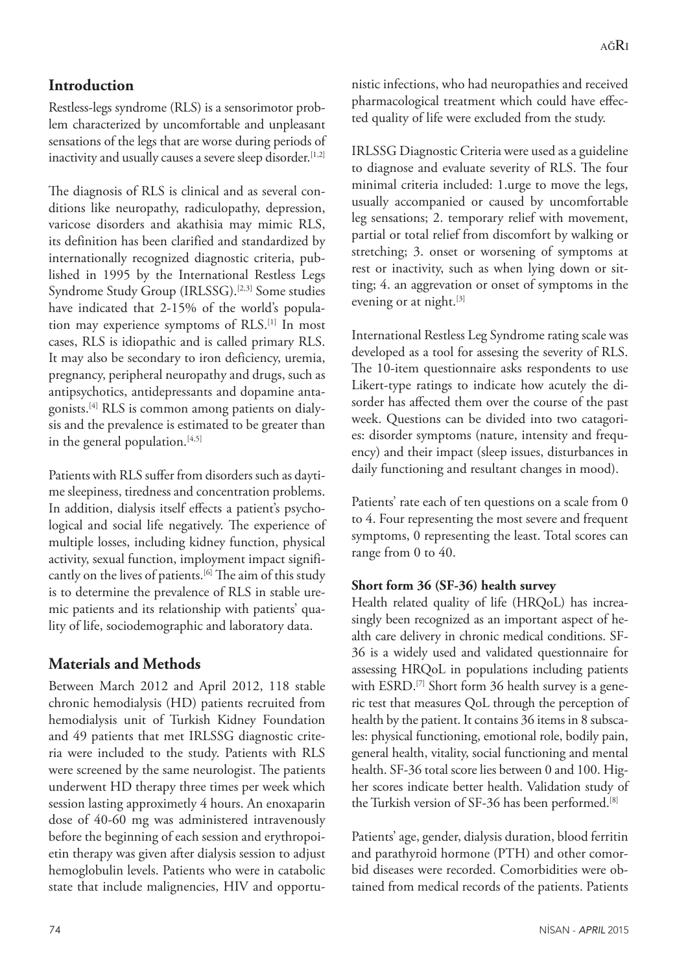# **Introduction**

Restless-legs syndrome (RLS) is a sensorimotor problem characterized by uncomfortable and unpleasant sensations of the legs that are worse during periods of inactivity and usually causes a severe sleep disorder.<sup>[1,2]</sup>

The diagnosis of RLS is clinical and as several conditions like neuropathy, radiculopathy, depression, varicose disorders and akathisia may mimic RLS, its definition has been clarified and standardized by internationally recognized diagnostic criteria, published in 1995 by the International Restless Legs Syndrome Study Group (IRLSSG).<sup>[2,3]</sup> Some studies have indicated that 2-15% of the world's population may experience symptoms of RLS.[1] In most cases, RLS is idiopathic and is called primary RLS. It may also be secondary to iron deficiency, uremia, pregnancy, peripheral neuropathy and drugs, such as antipsychotics, antidepressants and dopamine antagonists.[4] RLS is common among patients on dialysis and the prevalence is estimated to be greater than in the general population. $[4,5]$ 

Patients with RLS suffer from disorders such as daytime sleepiness, tiredness and concentration problems. In addition, dialysis itself effects a patient's psychological and social life negatively. The experience of multiple losses, including kidney function, physical activity, sexual function, imployment impact significantly on the lives of patients.[6] The aim of this study is to determine the prevalence of RLS in stable uremic patients and its relationship with patients' quality of life, sociodemographic and laboratory data.

# **Materials and Methods**

Between March 2012 and April 2012, 118 stable chronic hemodialysis (HD) patients recruited from hemodialysis unit of Turkish Kidney Foundation and 49 patients that met IRLSSG diagnostic criteria were included to the study. Patients with RLS were screened by the same neurologist. The patients underwent HD therapy three times per week which session lasting approximetly 4 hours. An enoxaparin dose of 40-60 mg was administered intravenously before the beginning of each session and erythropoietin therapy was given after dialysis session to adjust hemoglobulin levels. Patients who were in catabolic state that include malignencies, HIV and opportunistic infections, who had neuropathies and received pharmacological treatment which could have effected quality of life were excluded from the study.

IRLSSG Diagnostic Criteria were used as a guideline to diagnose and evaluate severity of RLS. The four minimal criteria included: 1.urge to move the legs, usually accompanied or caused by uncomfortable leg sensations; 2. temporary relief with movement, partial or total relief from discomfort by walking or stretching; 3. onset or worsening of symptoms at rest or inactivity, such as when lying down or sitting; 4. an aggrevation or onset of symptoms in the evening or at night.<sup>[3]</sup>

International Restless Leg Syndrome rating scale was developed as a tool for assesing the severity of RLS. The 10-item questionnaire asks respondents to use Likert-type ratings to indicate how acutely the disorder has affected them over the course of the past week. Questions can be divided into two catagories: disorder symptoms (nature, intensity and frequency) and their impact (sleep issues, disturbances in daily functioning and resultant changes in mood).

Patients' rate each of ten questions on a scale from 0 to 4. Four representing the most severe and frequent symptoms, 0 representing the least. Total scores can range from 0 to 40.

## **Short form 36 (SF-36) health survey**

Health related quality of life (HRQoL) has increasingly been recognized as an important aspect of health care delivery in chronic medical conditions. SF-36 is a widely used and validated questionnaire for assessing HRQoL in populations including patients with  $ESRD$ .<sup>[7]</sup> Short form 36 health survey is a generic test that measures QoL through the perception of health by the patient. It contains 36 items in 8 subscales: physical functioning, emotional role, bodily pain, general health, vitality, social functioning and mental health. SF-36 total score lies between 0 and 100. Higher scores indicate better health. Validation study of the Turkish version of SF-36 has been performed.[8]

Patients' age, gender, dialysis duration, blood ferritin and parathyroid hormone (PTH) and other comorbid diseases were recorded. Comorbidities were obtained from medical records of the patients. Patients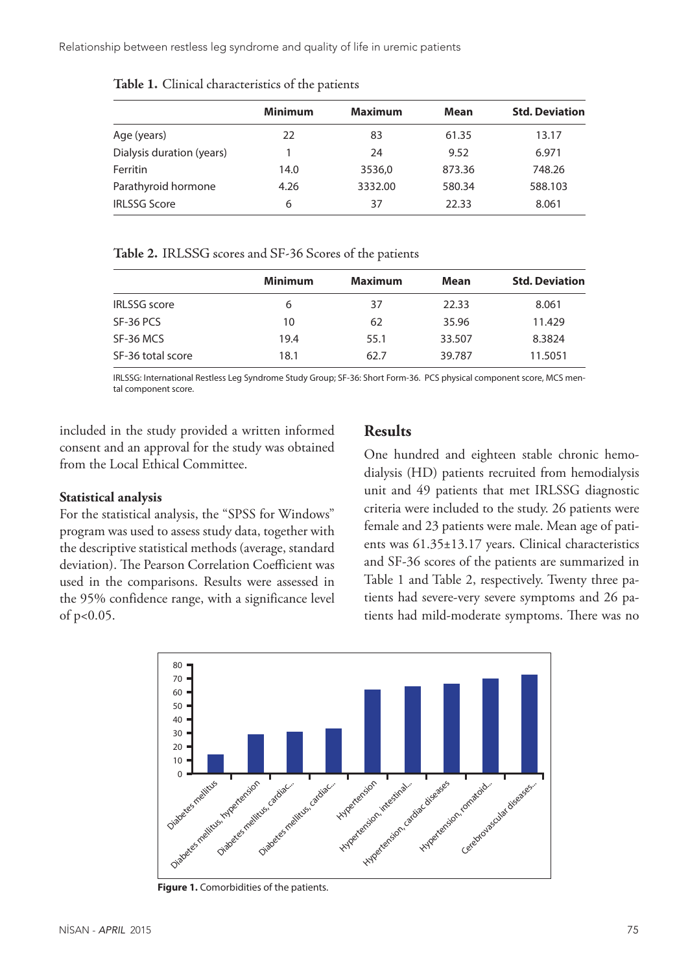Relationship between restless leg syndrome and quality of life in uremic patients

|                           | <b>Minimum</b> | <b>Maximum</b> | <b>Mean</b> | <b>Std. Deviation</b> |
|---------------------------|----------------|----------------|-------------|-----------------------|
| Age (years)               | 22             | 83             | 61.35       | 13.17                 |
| Dialysis duration (years) |                | 24             | 9.52        | 6.971                 |
| Ferritin                  | 14.0           | 3536,0         | 873.36      | 748.26                |
| Parathyroid hormone       | 4.26           | 3332.00        | 580.34      | 588.103               |
| <b>IRLSSG Score</b>       | 6              | 37             | 22.33       | 8.061                 |
|                           |                |                |             |                       |

**Table 1.** Clinical characteristics of the patients

#### **Table 2.** IRLSSG scores and SF-36 Scores of the patients

|                     | <b>Minimum</b> | <b>Maximum</b> | Mean   | <b>Std. Deviation</b> |
|---------------------|----------------|----------------|--------|-----------------------|
| <b>IRLSSG</b> score | 6              | 37             | 22.33  | 8.061                 |
| SF-36 PCS           | 10             | 62             | 35.96  | 11.429                |
| SF-36 MCS           | 19.4           | 55.1           | 33.507 | 8.3824                |
| SF-36 total score   | 18.1           | 62.7           | 39.787 | 11.5051               |

IRLSSG: International Restless Leg Syndrome Study Group; SF-36: Short Form-36. PCS physical component score, MCS mental component score.

included in the study provided a written informed consent and an approval for the study was obtained from the Local Ethical Committee.

#### **Statistical analysis**

For the statistical analysis, the "SPSS for Windows" program was used to assess study data, together with the descriptive statistical methods (average, standard deviation). The Pearson Correlation Coefficient was used in the comparisons. Results were assessed in the 95% confidence range, with a significance level of p<0.05.

### **Results**

One hundred and eighteen stable chronic hemodialysis (HD) patients recruited from hemodialysis unit and 49 patients that met IRLSSG diagnostic criteria were included to the study. 26 patients were female and 23 patients were male. Mean age of patients was 61.35±13.17 years. Clinical characteristics and SF-36 scores of the patients are summarized in Table 1 and Table 2, respectively. Twenty three patients had severe-very severe symptoms and 26 patients had mild-moderate symptoms. There was no



**Figure 1.** Comorbidities of the patients.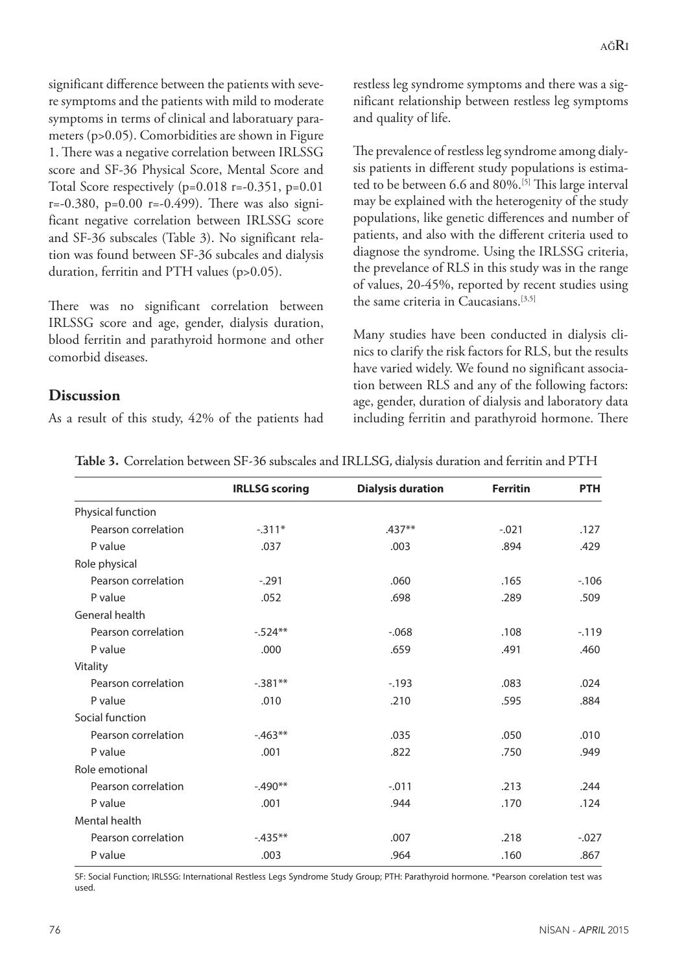significant difference between the patients with severe symptoms and the patients with mild to moderate symptoms in terms of clinical and laboratuary parameters (p>0.05). Comorbidities are shown in Figure 1. There was a negative correlation between IRLSSG score and SF-36 Physical Score, Mental Score and Total Score respectively  $(p=0.018 \text{ r}=-0.351, p=0.01$  $r=-0.380$ ,  $p=0.00$   $r=-0.499$ ). There was also significant negative correlation between IRLSSG score and SF-36 subscales (Table 3). No significant relation was found between SF-36 subcales and dialysis duration, ferritin and PTH values (p>0.05).

There was no significant correlation between IRLSSG score and age, gender, dialysis duration, blood ferritin and parathyroid hormone and other comorbid diseases.

As a result of this study, 42% of the patients had

**Discussion**

### restless leg syndrome symptoms and there was a significant relationship between restless leg symptoms and quality of life.

The prevalence of restless leg syndrome among dialysis patients in different study populations is estimated to be between 6.6 and 80%.[5] This large interval may be explained with the heterogenity of the study populations, like genetic differences and number of patients, and also with the different criteria used to diagnose the syndrome. Using the IRLSSG criteria, the prevelance of RLS in this study was in the range of values, 20-45%, reported by recent studies using the same criteria in Caucasians.[3,5]

Many studies have been conducted in dialysis clinics to clarify the risk factors for RLS, but the results have varied widely. We found no significant association between RLS and any of the following factors: age, gender, duration of dialysis and laboratory data including ferritin and parathyroid hormone. There

|                     | <b>IRLLSG scoring</b> | <b>Dialysis duration</b> | <b>Ferritin</b> | <b>PTH</b> |
|---------------------|-----------------------|--------------------------|-----------------|------------|
| Physical function   |                       |                          |                 |            |
| Pearson correlation | $-311*$               | .437**                   | $-.021$         | .127       |
| P value             | .037                  | .003                     | .894            | .429       |
| Role physical       |                       |                          |                 |            |
| Pearson correlation | $-.291$               | .060                     | .165            | $-106$     |
| P value             | .052                  | .698                     | .289            | .509       |
| General health      |                       |                          |                 |            |
| Pearson correlation | $-.524**$             | $-0.068$                 | .108            | $-119$     |
| P value             | .000                  | .659                     | .491            | .460       |
| Vitality            |                       |                          |                 |            |
| Pearson correlation | $-.381**$             | $-193$                   | .083            | .024       |
| P value             | .010                  | .210                     | .595            | .884       |
| Social function     |                       |                          |                 |            |
| Pearson correlation | $-463**$              | .035                     | .050            | .010       |
| P value             | .001                  | .822                     | .750            | .949       |
| Role emotional      |                       |                          |                 |            |
| Pearson correlation | $-490**$              | $-0.011$                 | .213            | .244       |
| P value             | .001                  | .944                     | .170            | .124       |
| Mental health       |                       |                          |                 |            |
| Pearson correlation | $-435**$              | .007                     | .218            | $-.027$    |
| P value             | .003                  | .964                     | .160            | .867       |
|                     |                       |                          |                 |            |

**Table 3.** Correlation between SF-36 subscales and IRLLSG, dialysis duration and ferritin and PTH

SF: Social Function; IRLSSG: International Restless Legs Syndrome Study Group; PTH: Parathyroid hormone. \*Pearson corelation test was used.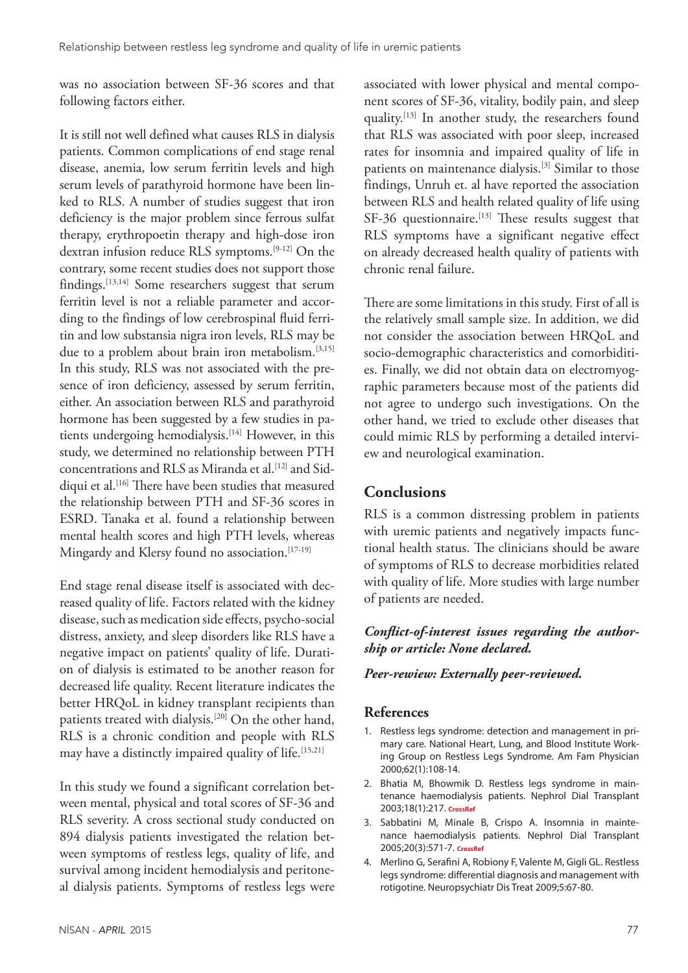was no association between SF-36 scores and that following factors either.

It is still not well defined what causes RLS in dialysis patients. Common complications of end stage renal disease, anemia, low serum ferritin levels and high serum levels of parathyroid hormone have been linked to RLS. A number of studies suggest that iron deficiency is the major problem since ferrous sulfat therapy, erythropoetin therapy and high-dose iron dextran infusion reduce RLS symptoms.[9-12] On the contrary, some recent studies does not support those findings.<sup>[13,14]</sup> Some researchers suggest that serum ferritin level is not a reliable parameter and according to the findings of low cerebrospinal fluid ferritin and low substansia nigra iron levels, RLS may be due to a problem about brain iron metabolism.<sup>[3,15]</sup> In this study, RLS was not associated with the presence of iron deficiency, assessed by serum ferritin, either. An association between RLS and parathyroid hormone has been suggested by a few studies in patients undergoing hemodialysis.<sup>[14]</sup> However, in this study, we determined no relationship between PTH concentrations and RLS as Miranda et al.<sup>[12]</sup> and Siddiqui et al.<sup>[16]</sup> There have been studies that measured the relationship between PTH and SF-36 scores in ESRD. Tanaka et al. found a relationship between mental health scores and high PTH levels, whereas Mingardy and Klersy found no association.<sup>[17-19]</sup>

End stage renal disease itself is associated with decreased quality of life. Factors related with the kidney disease, such as medication side effects, psycho-social distress, anxiety, and sleep disorders like RLS have a negative impact on patients' quality of life. Duration of dialysis is estimated to be another reason for decreased life quality. Recent literature indicates the better HRQoL in kidney transplant recipients than patients treated with dialysis.<sup>[20]</sup> On the other hand, RLS is a chronic condition and people with RLS may have a distinctly impaired quality of life.<sup>[15,21]</sup>

In this study we found a significant correlation between mental, physical and total scores of SF-36 and RLS severity. A cross sectional study conducted on 894 dialysis patients investigated the relation between symptoms of restless legs, quality of life, and survival among incident hemodialysis and peritoneal dialysis patients. Symptoms of restless legs were associated with lower physical and mental component scores of SF-36, vitality, bodily pain, and sleep quality.[13] In another study, the researchers found that RLS was associated with poor sleep, increased rates for insomnia and impaired quality of life in patients on maintenance dialysis.[3] Similar to those findings, Unruh et. al have reported the association between RLS and health related quality of life using  $SF-36$  questionnaire.<sup>[13]</sup> These results suggest that RLS symptoms have a significant negative effect on already decreased health quality of patients with chronic renal failure.

There are some limitations in this study. First of all is the relatively small sample size. In addition, we did not consider the association between HRQoL and socio-demographic characteristics and comorbidities. Finally, we did not obtain data on electromyographic parameters because most of the patients did not agree to undergo such investigations. On the other hand, we tried to exclude other diseases that could mimic RLS by performing a detailed interview and neurological examination.

# **Conclusions**

RLS is a common distressing problem in patients with uremic patients and negatively impacts functional health status. The clinicians should be aware of symptoms of RLS to decrease morbidities related with quality of life. More studies with large number of patients are needed.

### *Conflict-of-interest issues regarding the authorship or article: None declared.*

#### *Peer-rewiew: Externally peer-reviewed.*

### **References**

- 1. Restless legs syndrome: detection and management in primary care. National Heart, Lung, and Blood Institute Working Group on Restless Legs Syndrome. Am Fam Physician 2000;62(1):108-14.
- 2. Bhatia M, Bhowmik D. Restless legs syndrome in maintenance haemodialysis patients. Nephrol Dial Transplant 2003;18(1):217. **[CrossRef](http://dx.doi.org/10.1093/ndt/18.1.217)**
- 3. Sabbatini M, Minale B, Crispo A. Insomnia in maintenance haemodialysis patients. Nephrol Dial Transplant 2005;20(3):571-7. **[CrossRef](http://dx.doi.org/10.1093/ndt/gfh654)**
- 4. Merlino G, Serafini A, Robiony F, Valente M, Gigli GL. Restless legs syndrome: differential diagnosis and management with rotigotine. Neuropsychiatr Dis Treat 2009;5:67-80.